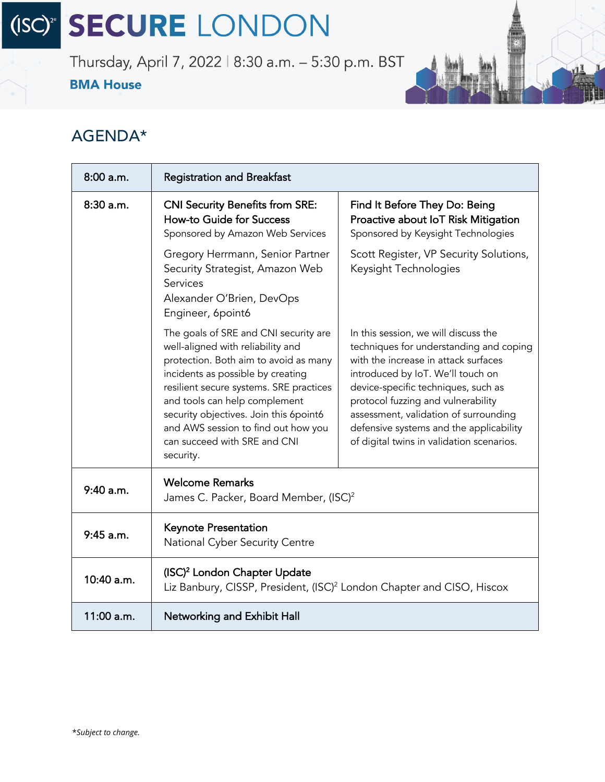Thursday, April 7, 2022 | 8:30 a.m. - 5:30 p.m. BST **BMA House** 



### AGENDA\*

| 8:00a.m.   | <b>Registration and Breakfast</b>                                                                                                                                                                                                                                                                                                                                  |                                                                                                                                                                                                                                                                                                                                                                            |
|------------|--------------------------------------------------------------------------------------------------------------------------------------------------------------------------------------------------------------------------------------------------------------------------------------------------------------------------------------------------------------------|----------------------------------------------------------------------------------------------------------------------------------------------------------------------------------------------------------------------------------------------------------------------------------------------------------------------------------------------------------------------------|
| 8:30a.m.   | <b>CNI Security Benefits from SRE:</b><br><b>How-to Guide for Success</b><br>Sponsored by Amazon Web Services                                                                                                                                                                                                                                                      | Find It Before They Do: Being<br>Proactive about IoT Risk Mitigation<br>Sponsored by Keysight Technologies                                                                                                                                                                                                                                                                 |
|            | Gregory Herrmann, Senior Partner<br>Security Strategist, Amazon Web<br>Services<br>Alexander O'Brien, DevOps<br>Engineer, 6point6                                                                                                                                                                                                                                  | Scott Register, VP Security Solutions,<br>Keysight Technologies                                                                                                                                                                                                                                                                                                            |
|            | The goals of SRE and CNI security are<br>well-aligned with reliability and<br>protection. Both aim to avoid as many<br>incidents as possible by creating<br>resilient secure systems. SRE practices<br>and tools can help complement<br>security objectives. Join this 6point6<br>and AWS session to find out how you<br>can succeed with SRE and CNI<br>security. | In this session, we will discuss the<br>techniques for understanding and coping<br>with the increase in attack surfaces<br>introduced by IoT. We'll touch on<br>device-specific techniques, such as<br>protocol fuzzing and vulnerability<br>assessment, validation of surrounding<br>defensive systems and the applicability<br>of digital twins in validation scenarios. |
| 9:40 a.m.  | <b>Welcome Remarks</b><br>James C. Packer, Board Member, (ISC) <sup>2</sup>                                                                                                                                                                                                                                                                                        |                                                                                                                                                                                                                                                                                                                                                                            |
| 9:45 a.m.  | <b>Keynote Presentation</b><br>National Cyber Security Centre                                                                                                                                                                                                                                                                                                      |                                                                                                                                                                                                                                                                                                                                                                            |
| 10:40 a.m. | (ISC) <sup>2</sup> London Chapter Update<br>Liz Banbury, CISSP, President, (ISC) <sup>2</sup> London Chapter and CISO, Hiscox                                                                                                                                                                                                                                      |                                                                                                                                                                                                                                                                                                                                                                            |
| 11:00 a.m. | <b>Networking and Exhibit Hall</b>                                                                                                                                                                                                                                                                                                                                 |                                                                                                                                                                                                                                                                                                                                                                            |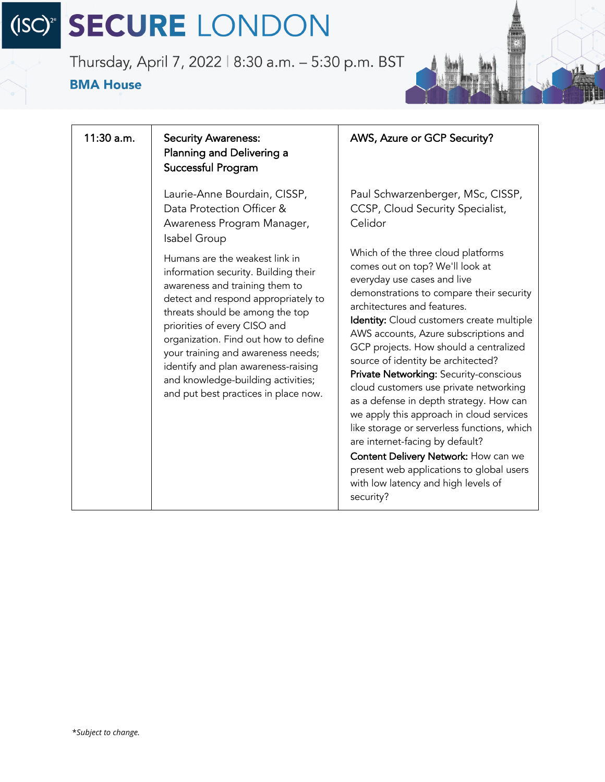Thursday, April 7, 2022 | 8:30 a.m. - 5:30 p.m. BST

#### **BMA House**



| 11:30 a.m. | <b>Security Awareness:</b><br>Planning and Delivering a<br>Successful Program                                                                                                                                                                                                                                                                                                                                         | AWS, Azure or GCP Security?                                                                                                                                                                                                                                                                                                                                                                                                                                                                                                                                                                                                                                                                                                                                |
|------------|-----------------------------------------------------------------------------------------------------------------------------------------------------------------------------------------------------------------------------------------------------------------------------------------------------------------------------------------------------------------------------------------------------------------------|------------------------------------------------------------------------------------------------------------------------------------------------------------------------------------------------------------------------------------------------------------------------------------------------------------------------------------------------------------------------------------------------------------------------------------------------------------------------------------------------------------------------------------------------------------------------------------------------------------------------------------------------------------------------------------------------------------------------------------------------------------|
|            | Laurie-Anne Bourdain, CISSP,<br>Data Protection Officer &<br>Awareness Program Manager,<br>Isabel Group                                                                                                                                                                                                                                                                                                               | Paul Schwarzenberger, MSc, CISSP,<br>CCSP, Cloud Security Specialist,<br>Celidor                                                                                                                                                                                                                                                                                                                                                                                                                                                                                                                                                                                                                                                                           |
|            | Humans are the weakest link in<br>information security. Building their<br>awareness and training them to<br>detect and respond appropriately to<br>threats should be among the top<br>priorities of every CISO and<br>organization. Find out how to define<br>your training and awareness needs;<br>identify and plan awareness-raising<br>and knowledge-building activities;<br>and put best practices in place now. | Which of the three cloud platforms<br>comes out on top? We'll look at<br>everyday use cases and live<br>demonstrations to compare their security<br>architectures and features.<br>Identity: Cloud customers create multiple<br>AWS accounts, Azure subscriptions and<br>GCP projects. How should a centralized<br>source of identity be architected?<br>Private Networking: Security-conscious<br>cloud customers use private networking<br>as a defense in depth strategy. How can<br>we apply this approach in cloud services<br>like storage or serverless functions, which<br>are internet-facing by default?<br>Content Delivery Network: How can we<br>present web applications to global users<br>with low latency and high levels of<br>security? |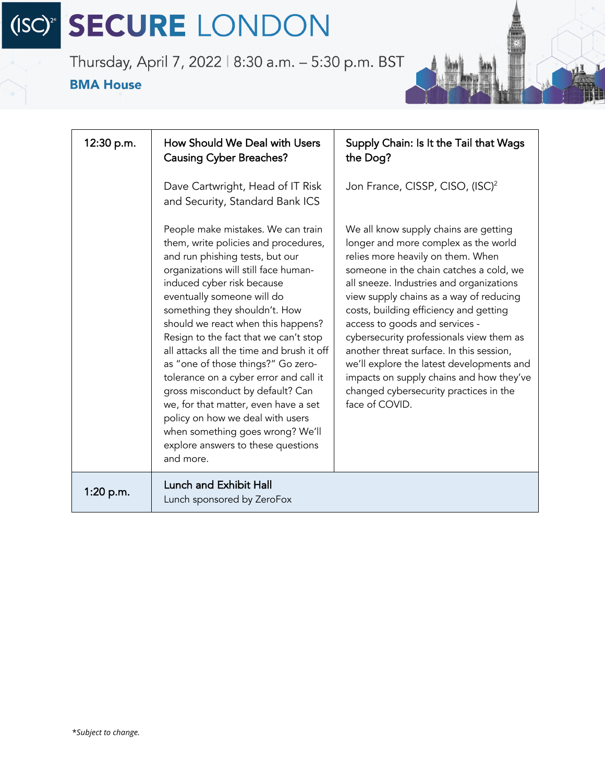Thursday, April 7, 2022 | 8:30 a.m. - 5:30 p.m. BST

#### **BMA House**



| 12:30 p.m. | How Should We Deal with Users<br><b>Causing Cyber Breaches?</b>                                                                                                                                                                                                                                                                                                                                                                                                                                                                                                                                                                                                       | Supply Chain: Is It the Tail that Wags<br>the Dog?                                                                                                                                                                                                                                                                                                                                                                                                                                                                                                                            |
|------------|-----------------------------------------------------------------------------------------------------------------------------------------------------------------------------------------------------------------------------------------------------------------------------------------------------------------------------------------------------------------------------------------------------------------------------------------------------------------------------------------------------------------------------------------------------------------------------------------------------------------------------------------------------------------------|-------------------------------------------------------------------------------------------------------------------------------------------------------------------------------------------------------------------------------------------------------------------------------------------------------------------------------------------------------------------------------------------------------------------------------------------------------------------------------------------------------------------------------------------------------------------------------|
|            | Dave Cartwright, Head of IT Risk<br>and Security, Standard Bank ICS                                                                                                                                                                                                                                                                                                                                                                                                                                                                                                                                                                                                   | Jon France, CISSP, CISO, (ISC) <sup>2</sup>                                                                                                                                                                                                                                                                                                                                                                                                                                                                                                                                   |
|            | People make mistakes. We can train<br>them, write policies and procedures,<br>and run phishing tests, but our<br>organizations will still face human-<br>induced cyber risk because<br>eventually someone will do<br>something they shouldn't. How<br>should we react when this happens?<br>Resign to the fact that we can't stop<br>all attacks all the time and brush it off<br>as "one of those things?" Go zero-<br>tolerance on a cyber error and call it<br>gross misconduct by default? Can<br>we, for that matter, even have a set<br>policy on how we deal with users<br>when something goes wrong? We'll<br>explore answers to these questions<br>and more. | We all know supply chains are getting<br>longer and more complex as the world<br>relies more heavily on them. When<br>someone in the chain catches a cold, we<br>all sneeze. Industries and organizations<br>view supply chains as a way of reducing<br>costs, building efficiency and getting<br>access to goods and services -<br>cybersecurity professionals view them as<br>another threat surface. In this session,<br>we'll explore the latest developments and<br>impacts on supply chains and how they've<br>changed cybersecurity practices in the<br>face of COVID. |
| 1:20 p.m.  | Lunch and Exhibit Hall<br>Lunch sponsored by ZeroFox                                                                                                                                                                                                                                                                                                                                                                                                                                                                                                                                                                                                                  |                                                                                                                                                                                                                                                                                                                                                                                                                                                                                                                                                                               |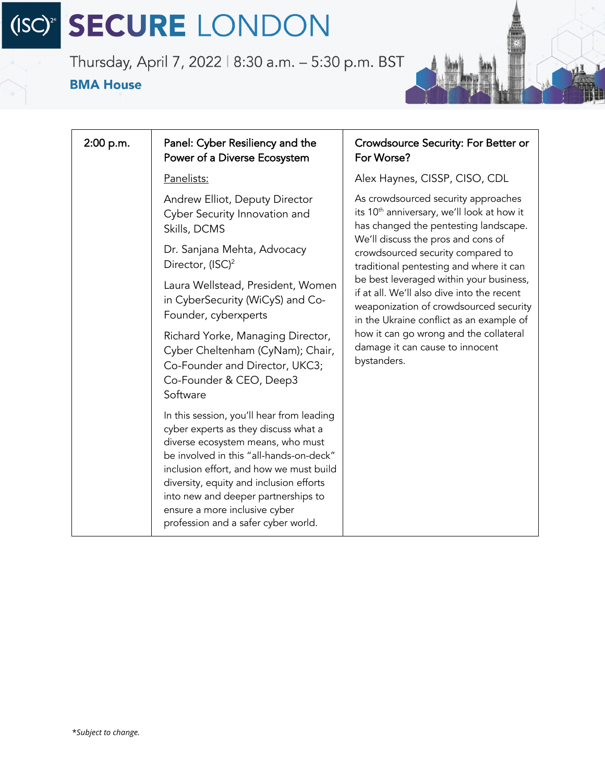Thursday, April 7, 2022 | 8:30 a.m. - 5:30 p.m. BST

#### **BMA House**



| 2:00 p.m. | Panel: Cyber Resiliency and the<br>Power of a Diverse Ecosystem                                                                                                                                                                                                                                                                                                        | Crowdsource Security: For Better or<br>For Worse?                                                                                                                                                                                                                                                                                                                                                                                                                                                                                       |
|-----------|------------------------------------------------------------------------------------------------------------------------------------------------------------------------------------------------------------------------------------------------------------------------------------------------------------------------------------------------------------------------|-----------------------------------------------------------------------------------------------------------------------------------------------------------------------------------------------------------------------------------------------------------------------------------------------------------------------------------------------------------------------------------------------------------------------------------------------------------------------------------------------------------------------------------------|
|           | Panelists:                                                                                                                                                                                                                                                                                                                                                             | Alex Haynes, CISSP, CISO, CDL                                                                                                                                                                                                                                                                                                                                                                                                                                                                                                           |
|           | Andrew Elliot, Deputy Director<br>Cyber Security Innovation and<br>Skills, DCMS                                                                                                                                                                                                                                                                                        | As crowdsourced security approaches<br>its 10 <sup>th</sup> anniversary, we'll look at how it<br>has changed the pentesting landscape.<br>We'll discuss the pros and cons of<br>crowdsourced security compared to<br>traditional pentesting and where it can<br>be best leveraged within your business,<br>if at all. We'll also dive into the recent<br>weaponization of crowdsourced security<br>in the Ukraine conflict as an example of<br>how it can go wrong and the collateral<br>damage it can cause to innocent<br>bystanders. |
|           | Dr. Sanjana Mehta, Advocacy<br>Director, (ISC) <sup>2</sup>                                                                                                                                                                                                                                                                                                            |                                                                                                                                                                                                                                                                                                                                                                                                                                                                                                                                         |
|           | Laura Wellstead, President, Women<br>in CyberSecurity (WiCyS) and Co-<br>Founder, cyberxperts                                                                                                                                                                                                                                                                          |                                                                                                                                                                                                                                                                                                                                                                                                                                                                                                                                         |
|           | Richard Yorke, Managing Director,<br>Cyber Cheltenham (CyNam); Chair,<br>Co-Founder and Director, UKC3;<br>Co-Founder & CEO, Deep3<br>Software                                                                                                                                                                                                                         |                                                                                                                                                                                                                                                                                                                                                                                                                                                                                                                                         |
|           | In this session, you'll hear from leading<br>cyber experts as they discuss what a<br>diverse ecosystem means, who must<br>be involved in this "all-hands-on-deck"<br>inclusion effort, and how we must build<br>diversity, equity and inclusion efforts<br>into new and deeper partnerships to<br>ensure a more inclusive cyber<br>profession and a safer cyber world. |                                                                                                                                                                                                                                                                                                                                                                                                                                                                                                                                         |